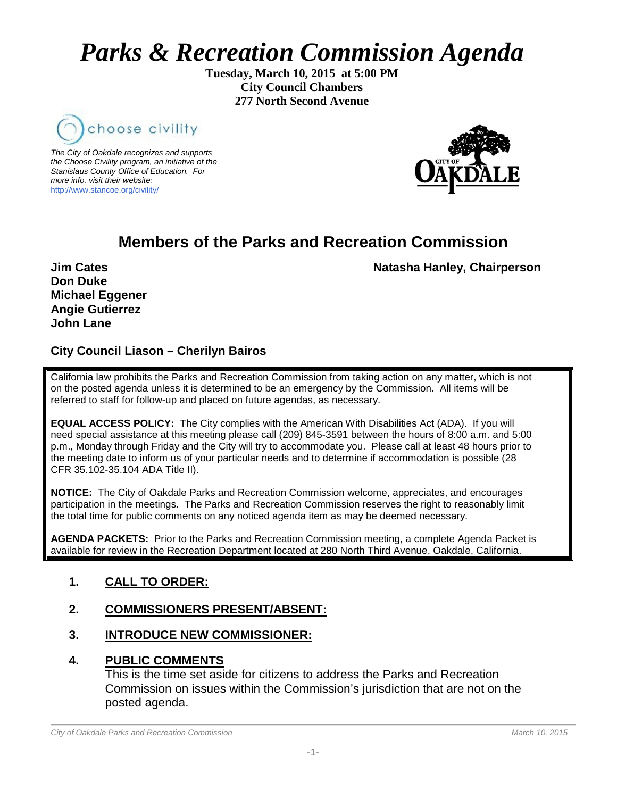# *Parks & Recreation Commission Agenda*

**Tuesday, March 10, 2015 at 5:00 PM City Council Chambers 277 North Second Avenue**



*The City of Oakdale recognizes and supports the Choose Civility program, an initiative of the Stanislaus County Office of Education. For more info. visit their website:* [http://www.stancoe.org/civility/](http://links.schoolloop.com/link/rd?href=736c5f6c696e6b6666303163633065623266687474703a2f2f7777772e7374616e636f652e6f72672f636976696c6974792f)



# **Members of the Parks and Recreation Commission**

**Jim Cates** Natasha Hanley, Chairperson

**Don Duke Michael Eggener Angie Gutierrez John Lane**

# **City Council Liason – Cherilyn Bairos**

California law prohibits the Parks and Recreation Commission from taking action on any matter, which is not on the posted agenda unless it is determined to be an emergency by the Commission. All items will be referred to staff for follow-up and placed on future agendas, as necessary.

**EQUAL ACCESS POLICY:** The City complies with the American With Disabilities Act (ADA). If you will need special assistance at this meeting please call (209) 845-3591 between the hours of 8:00 a.m. and 5:00 p.m., Monday through Friday and the City will try to accommodate you. Please call at least 48 hours prior to the meeting date to inform us of your particular needs and to determine if accommodation is possible (28 CFR 35.102-35.104 ADA Title II).

**NOTICE:** The City of Oakdale Parks and Recreation Commission welcome, appreciates, and encourages participation in the meetings. The Parks and Recreation Commission reserves the right to reasonably limit the total time for public comments on any noticed agenda item as may be deemed necessary.

**AGENDA PACKETS:** Prior to the Parks and Recreation Commission meeting, a complete Agenda Packet is available for review in the Recreation Department located at 280 North Third Avenue, Oakdale, California.

## **1. CALL TO ORDER:**

## **2. COMMISSIONERS PRESENT/ABSENT:**

#### **3. INTRODUCE NEW COMMISSIONER:**

#### **4. PUBLIC COMMENTS**

This is the time set aside for citizens to address the Parks and Recreation Commission on issues within the Commission's jurisdiction that are not on the posted agenda.